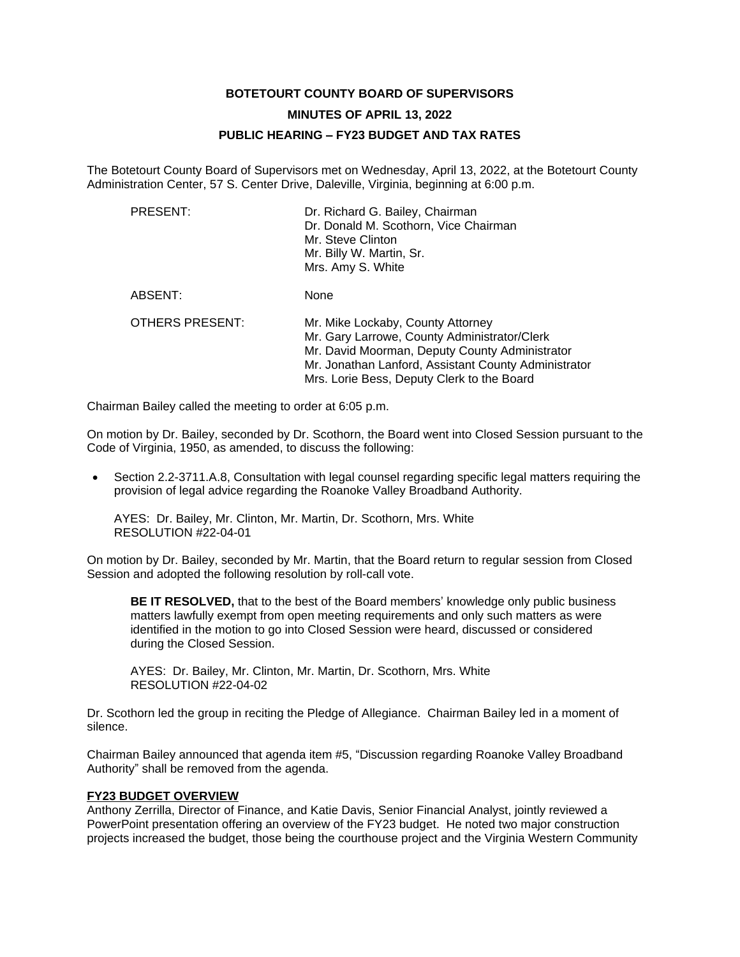# **BOTETOURT COUNTY BOARD OF SUPERVISORS MINUTES OF APRIL 13, 2022 PUBLIC HEARING – FY23 BUDGET AND TAX RATES**

The Botetourt County Board of Supervisors met on Wednesday, April 13, 2022, at the Botetourt County Administration Center, 57 S. Center Drive, Daleville, Virginia, beginning at 6:00 p.m.

| PRESENT:        | Dr. Richard G. Bailey, Chairman<br>Dr. Donald M. Scothorn, Vice Chairman<br>Mr. Steve Clinton<br>Mr. Billy W. Martin, Sr.<br>Mrs. Amy S. White                                                                                            |
|-----------------|-------------------------------------------------------------------------------------------------------------------------------------------------------------------------------------------------------------------------------------------|
| ABSENT:         | None                                                                                                                                                                                                                                      |
| OTHERS PRESENT: | Mr. Mike Lockaby, County Attorney<br>Mr. Gary Larrowe, County Administrator/Clerk<br>Mr. David Moorman, Deputy County Administrator<br>Mr. Jonathan Lanford, Assistant County Administrator<br>Mrs. Lorie Bess, Deputy Clerk to the Board |

Chairman Bailey called the meeting to order at 6:05 p.m.

On motion by Dr. Bailey, seconded by Dr. Scothorn, the Board went into Closed Session pursuant to the Code of Virginia, 1950, as amended, to discuss the following:

• Section 2.2-3711.A.8, Consultation with legal counsel regarding specific legal matters requiring the provision of legal advice regarding the Roanoke Valley Broadband Authority.

AYES: Dr. Bailey, Mr. Clinton, Mr. Martin, Dr. Scothorn, Mrs. White RESOLUTION #22-04-01

On motion by Dr. Bailey, seconded by Mr. Martin, that the Board return to regular session from Closed Session and adopted the following resolution by roll-call vote.

**BE IT RESOLVED,** that to the best of the Board members' knowledge only public business matters lawfully exempt from open meeting requirements and only such matters as were identified in the motion to go into Closed Session were heard, discussed or considered during the Closed Session.

AYES: Dr. Bailey, Mr. Clinton, Mr. Martin, Dr. Scothorn, Mrs. White RESOLUTION #22-04-02

Dr. Scothorn led the group in reciting the Pledge of Allegiance. Chairman Bailey led in a moment of silence.

Chairman Bailey announced that agenda item #5, "Discussion regarding Roanoke Valley Broadband Authority" shall be removed from the agenda.

#### **FY23 BUDGET OVERVIEW**

Anthony Zerrilla, Director of Finance, and Katie Davis, Senior Financial Analyst, jointly reviewed a PowerPoint presentation offering an overview of the FY23 budget. He noted two major construction projects increased the budget, those being the courthouse project and the Virginia Western Community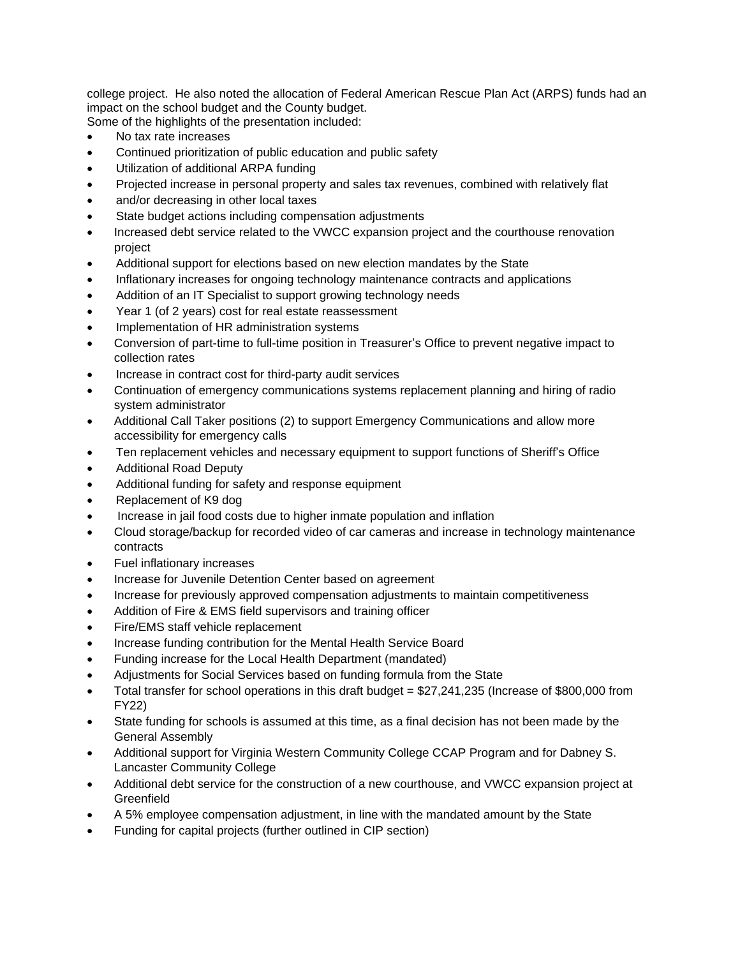college project. He also noted the allocation of Federal American Rescue Plan Act (ARPS) funds had an impact on the school budget and the County budget.

Some of the highlights of the presentation included:

- No tax rate increases
- Continued prioritization of public education and public safety
- Utilization of additional ARPA funding
- Projected increase in personal property and sales tax revenues, combined with relatively flat
- and/or decreasing in other local taxes
- State budget actions including compensation adjustments
- Increased debt service related to the VWCC expansion project and the courthouse renovation project
- Additional support for elections based on new election mandates by the State
- Inflationary increases for ongoing technology maintenance contracts and applications
- Addition of an IT Specialist to support growing technology needs
- Year 1 (of 2 years) cost for real estate reassessment
- Implementation of HR administration systems
- Conversion of part-time to full-time position in Treasurer's Office to prevent negative impact to collection rates
- Increase in contract cost for third-party audit services
- Continuation of emergency communications systems replacement planning and hiring of radio system administrator
- Additional Call Taker positions (2) to support Emergency Communications and allow more accessibility for emergency calls
- Ten replacement vehicles and necessary equipment to support functions of Sheriff's Office
- Additional Road Deputy
- Additional funding for safety and response equipment
- Replacement of K9 dog
- Increase in jail food costs due to higher inmate population and inflation
- Cloud storage/backup for recorded video of car cameras and increase in technology maintenance contracts
- Fuel inflationary increases
- Increase for Juvenile Detention Center based on agreement
- Increase for previously approved compensation adjustments to maintain competitiveness
- Addition of Fire & EMS field supervisors and training officer
- Fire/EMS staff vehicle replacement
- Increase funding contribution for the Mental Health Service Board
- Funding increase for the Local Health Department (mandated)
- Adjustments for Social Services based on funding formula from the State
- Total transfer for school operations in this draft budget = \$27,241,235 (Increase of \$800,000 from FY22)
- State funding for schools is assumed at this time, as a final decision has not been made by the General Assembly
- Additional support for Virginia Western Community College CCAP Program and for Dabney S. Lancaster Community College
- Additional debt service for the construction of a new courthouse, and VWCC expansion project at **Greenfield**
- A 5% employee compensation adjustment, in line with the mandated amount by the State
- Funding for capital projects (further outlined in CIP section)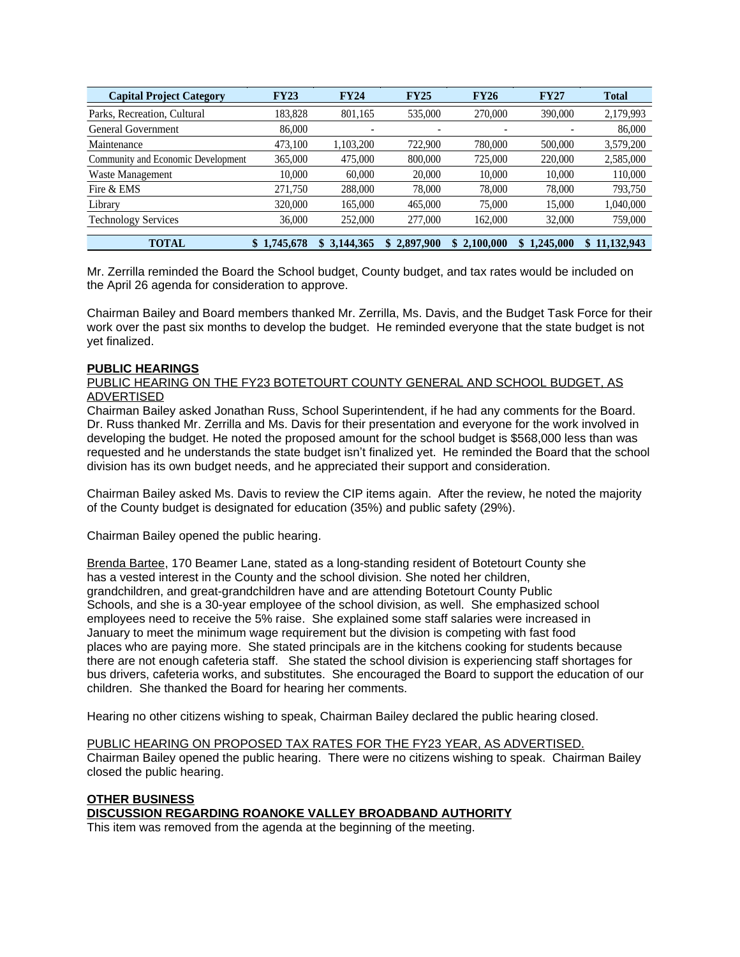| <b>Capital Project Category</b>    | <b>FY23</b>     | <b>FY24</b> | <b>FY25</b>              | <b>FY26</b>     | <b>FY27</b>     | <b>Total</b> |
|------------------------------------|-----------------|-------------|--------------------------|-----------------|-----------------|--------------|
| Parks, Recreation, Cultural        | 183.828         | 801,165     | 535,000                  | 270,000         | 390,000         | 2,179,993    |
| General Government                 | 86,000          |             | $\overline{\phantom{a}}$ | -               |                 | 86,000       |
| Maintenance                        | 473,100         | 1.103.200   | 722,900                  | 780,000         | 500,000         | 3,579,200    |
| Community and Economic Development | 365,000         | 475,000     | 800,000                  | 725,000         | 220,000         | 2,585,000    |
| Waste Management                   | 10.000          | 60,000      | 20,000                   | 10.000          | 10.000          | 110,000      |
| Fire & EMS                         | 271,750         | 288,000     | 78,000                   | 78,000          | 78,000          | 793,750      |
| Library                            | 320,000         | 165,000     | 465,000                  | 75,000          | 15,000          | 1,040,000    |
| <b>Technology Services</b>         | 36,000          | 252,000     | 277,000                  | 162,000         | 32,000          | 759,000      |
| <b>TOTAL</b>                       | 1,745,678<br>\$ | \$3,144,365 | 2,897,900                | 2,100,000<br>S. | 1,245,000<br>S. | \$11,132,943 |

Mr. Zerrilla reminded the Board the School budget, County budget, and tax rates would be included on the April 26 agenda for consideration to approve.

Chairman Bailey and Board members thanked Mr. Zerrilla, Ms. Davis, and the Budget Task Force for their work over the past six months to develop the budget. He reminded everyone that the state budget is not yet finalized.

#### **PUBLIC HEARINGS**

#### PUBLIC HEARING ON THE FY23 BOTETOURT COUNTY GENERAL AND SCHOOL BUDGET, AS ADVERTISED

Chairman Bailey asked Jonathan Russ, School Superintendent, if he had any comments for the Board. Dr. Russ thanked Mr. Zerrilla and Ms. Davis for their presentation and everyone for the work involved in developing the budget. He noted the proposed amount for the school budget is \$568,000 less than was requested and he understands the state budget isn't finalized yet. He reminded the Board that the school division has its own budget needs, and he appreciated their support and consideration.

Chairman Bailey asked Ms. Davis to review the CIP items again. After the review, he noted the majority of the County budget is designated for education (35%) and public safety (29%).

Chairman Bailey opened the public hearing.

Brenda Bartee, 170 Beamer Lane, stated as a long-standing resident of Botetourt County she has a vested interest in the County and the school division. She noted her children, grandchildren, and great-grandchildren have and are attending Botetourt County Public Schools, and she is a 30-year employee of the school division, as well. She emphasized school employees need to receive the 5% raise. She explained some staff salaries were increased in January to meet the minimum wage requirement but the division is competing with fast food places who are paying more. She stated principals are in the kitchens cooking for students because there are not enough cafeteria staff. She stated the school division is experiencing staff shortages for bus drivers, cafeteria works, and substitutes. She encouraged the Board to support the education of our children. She thanked the Board for hearing her comments.

Hearing no other citizens wishing to speak, Chairman Bailey declared the public hearing closed.

PUBLIC HEARING ON PROPOSED TAX RATES FOR THE FY23 YEAR, AS ADVERTISED. Chairman Bailey opened the public hearing. There were no citizens wishing to speak. Chairman Bailey closed the public hearing.

## **OTHER BUSINESS DISCUSSION REGARDING ROANOKE VALLEY BROADBAND AUTHORITY**

This item was removed from the agenda at the beginning of the meeting.